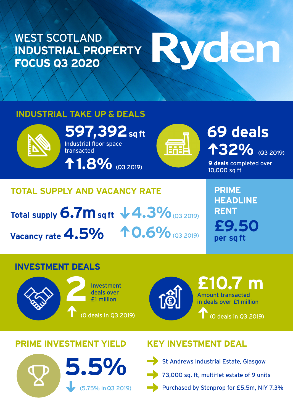#### WEST SCOTLAND **INDUSTRIAL PROPERTY FOCUS Q3 2020**

# Ryden

#### **INDUSTRIAL TAKE UP & DEALS**



**597,392 sq ft 69 deals** Industrial floor space transacted

**1.8%** (Q3 2019)



## **32%** (Q3 2019)

**9 deals** completed over 10,000 sq ft

### **TOTAL SUPPLY AND VACANCY RATE**

**Total supply 6.7m sq ft**  $\sqrt{4.3\%}$  **(Q3 2019) Vacancy rate 4.5%** 10.6% (Q3 2019)

**PRIME HEADLINE RENT £9.50 per sq ft**

#### **INVESTMENT DEALS**





Amount transacted in deals over £1 million **£10.7 m** (0 deals in Q3 2019)

#### **PRIME INVESTMENT YIELD KEY INVESTMENT DEAL**

### (5.75% in Q3 2019) **5.5%**



St Andrews Industrial Estate, Glasgow 73,000 sq. ft, multi-let estate of 9 units Purchased by Stenprop for £5.5m, NIY 7.3%